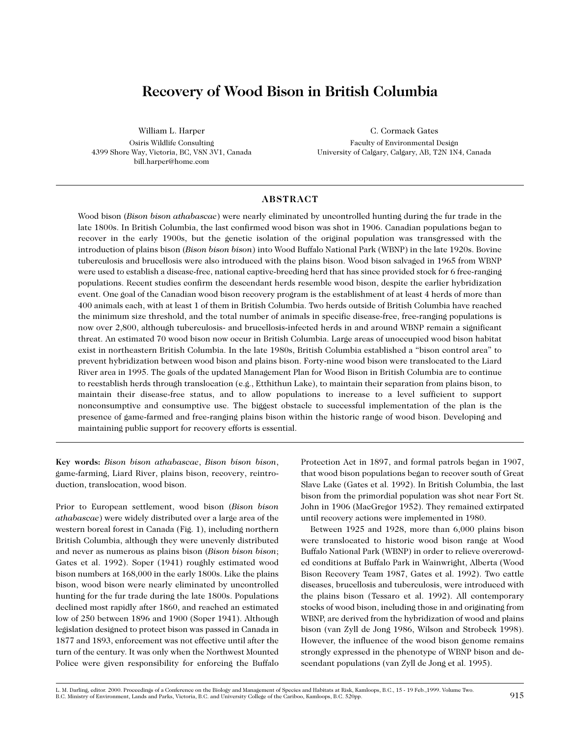# **Recovery of Wood Bison in British Columbia**

William L. Harper Osiris Wildlife Consulting 4399 Shore Way, Victoria, BC, V8N 3V1, Canada bill.harper@home.com

C. Cormack Gates Faculty of Environmental Design University of Calgary, Calgary, AB, T2N 1N4, Canada

# **ABSTRACT**

Wood bison (*Bison bison athabascae*) were nearly eliminated by uncontrolled hunting during the fur trade in the late 1800s. In British Columbia, the last confirmed wood bison was shot in 1906. Canadian populations began to recover in the early 1900s, but the genetic isolation of the original population was transgressed with the introduction of plains bison (*Bison bison bison*) into Wood Buffalo National Park (WBNP) in the late 1920s. Bovine tuberculosis and brucellosis were also introduced with the plains bison. Wood bison salvaged in 1965 from WBNP were used to establish a disease-free, national captive-breeding herd that has since provided stock for 6 free-ranging populations. Recent studies confirm the descendant herds resemble wood bison, despite the earlier hybridization event. One goal of the Canadian wood bison recovery program is the establishment of at least 4 herds of more than 400 animals each, with at least 1 of them in British Columbia. Two herds outside of British Columbia have reached the minimum size threshold, and the total number of animals in specific disease-free, free-ranging populations is now over 2,800, although tuberculosis- and brucellosis-infected herds in and around WBNP remain a significant threat. An estimated 70 wood bison now occur in British Columbia. Large areas of unoccupied wood bison habitat exist in northeastern British Columbia. In the late 1980s, British Columbia established a "bison control area" to prevent hybridization between wood bison and plains bison. Forty-nine wood bison were translocated to the Liard River area in 1995. The goals of the updated Management Plan for Wood Bison in British Columbia are to continue to reestablish herds through translocation (e.g., Etthithun Lake), to maintain their separation from plains bison, to maintain their disease-free status, and to allow populations to increase to a level sufficient to support nonconsumptive and consumptive use. The biggest obstacle to successful implementation of the plan is the presence of game-farmed and free-ranging plains bison within the historic range of wood bison. Developing and maintaining public support for recovery efforts is essential.

**Key words:** *Bison bison athabascae*, *Bison bison bison*, game-farming, Liard River, plains bison, recovery, reintroduction, translocation, wood bison.

Prior to European settlement, wood bison (*Bison bison athabascae*) were widely distributed over a large area of the western boreal forest in Canada (Fig. 1), including northern British Columbia, although they were unevenly distributed and never as numerous as plains bison (*Bison bison bison*; Gates et al. 1992). Soper (1941) roughly estimated wood bison numbers at 168,000 in the early 1800s. Like the plains bison, wood bison were nearly eliminated by uncontrolled hunting for the fur trade during the late 1800s. Populations declined most rapidly after 1860, and reached an estimated low of 250 between 1896 and 1900 (Soper 1941). Although legislation designed to protect bison was passed in Canada in 1877 and 1893, enforcement was not effective until after the turn of the century. It was only when the Northwest Mounted Police were given responsibility for enforcing the Buffalo

Protection Act in 1897, and formal patrols began in 1907, that wood bison populations began to recover south of Great Slave Lake (Gates et al. 1992). In British Columbia, the last bison from the primordial population was shot near Fort St. John in 1906 (MacGregor 1952). They remained extirpated until recovery actions were implemented in 1980.

Between 1925 and 1928, more than 6,000 plains bison were translocated to historic wood bison range at Wood Buffalo National Park (WBNP) in order to relieve overcrowded conditions at Buffalo Park in Wainwright, Alberta (Wood Bison Recovery Team 1987, Gates et al. 1992). Two cattle diseases, brucellosis and tuberculosis, were introduced with the plains bison (Tessaro et al. 1992). All contemporary stocks of wood bison, including those in and originating from WBNP, are derived from the hybridization of wood and plains bison (van Zyll de Jong 1986, Wilson and Strobeck 1998). However, the influence of the wood bison genome remains strongly expressed in the phenotype of WBNP bison and descendant populations (van Zyll de Jong et al. 1995).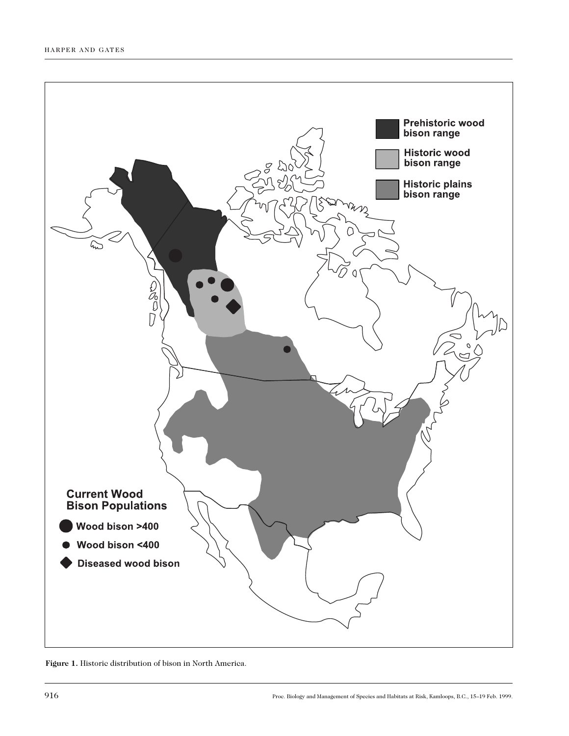

**Figure 1.** Historic distribution of bison in North America.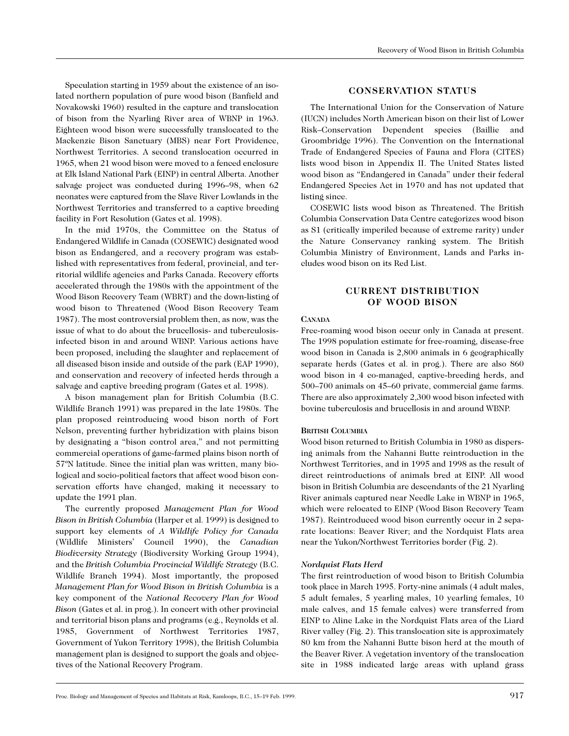Speculation starting in 1959 about the existence of an isolated northern population of pure wood bison (Banfield and Novakowski 1960) resulted in the capture and translocation of bison from the Nyarling River area of WBNP in 1963. Eighteen wood bison were successfully translocated to the Mackenzie Bison Sanctuary (MBS) near Fort Providence, Northwest Territories. A second translocation occurred in 1965, when 21 wood bison were moved to a fenced enclosure at Elk Island National Park (EINP) in central Alberta. Another salvage project was conducted during 1996–98, when 62 neonates were captured from the Slave River Lowlands in the Northwest Territories and transferred to a captive breeding facility in Fort Resolution (Gates et al. 1998).

In the mid 1970s, the Committee on the Status of Endangered Wildlife in Canada (COSEWIC) designated wood bison as Endangered, and a recovery program was established with representatives from federal, provincial, and territorial wildlife agencies and Parks Canada. Recovery efforts accelerated through the 1980s with the appointment of the Wood Bison Recovery Team (WBRT) and the down-listing of wood bison to Threatened (Wood Bison Recovery Team 1987). The most controversial problem then, as now, was the issue of what to do about the brucellosis- and tuberculosisinfected bison in and around WBNP. Various actions have been proposed, including the slaughter and replacement of all diseased bison inside and outside of the park (EAP 1990), and conservation and recovery of infected herds through a salvage and captive breeding program (Gates et al. 1998).

A bison management plan for British Columbia (B.C. Wildlife Branch 1991) was prepared in the late 1980s. The plan proposed reintroducing wood bison north of Fort Nelson, preventing further hybridization with plains bison by designating a "bison control area," and not permitting commercial operations of game-farmed plains bison north of 57ºN latitude. Since the initial plan was written, many biological and socio-political factors that affect wood bison conservation efforts have changed, making it necessary to update the 1991 plan.

The currently proposed *Management Plan for Wood Bison in British Columbia* (Harper et al. 1999) is designed to support key elements of *A Wildlife Policy for Canada* (Wildlife Ministers' Council 1990), the *Canadian Biodiversity Strategy* (Biodiversity Working Group 1994), and the *British Columbia Provincial Wildlife Strategy* (B.C. Wildlife Branch 1994). Most importantly, the proposed *Management Plan for Wood Bison in British Columbia* is a key component of the *National Recovery Plan for Wood Bison* (Gates et al. in prog.). In concert with other provincial and territorial bison plans and programs (e.g., Reynolds et al. 1985, Government of Northwest Territories 1987, Government of Yukon Territory 1998), the British Columbia management plan is designed to support the goals and objectives of the National Recovery Program.

# **CONSERVATION STATUS**

The International Union for the Conservation of Nature (IUCN) includes North American bison on their list of Lower Risk–Conservation Dependent species (Baillie and Groombridge 1996). The Convention on the International Trade of Endangered Species of Fauna and Flora (CITES) lists wood bison in Appendix II. The United States listed wood bison as "Endangered in Canada" under their federal Endangered Species Act in 1970 and has not updated that listing since.

COSEWIC lists wood bison as Threatened. The British Columbia Conservation Data Centre categorizes wood bison as S1 (critically imperiled because of extreme rarity) under the Nature Conservancy ranking system. The British Columbia Ministry of Environment, Lands and Parks includes wood bison on its Red List.

# **CURRENT DISTRIBUTION OF WOOD BISON**

#### **CANADA**

Free-roaming wood bison occur only in Canada at present. The 1998 population estimate for free-roaming, disease-free wood bison in Canada is 2,800 animals in 6 geographically separate herds (Gates et al. in prog.). There are also 860 wood bison in 4 co-managed, captive-breeding herds, and 500–700 animals on 45–60 private, commercial game farms. There are also approximately 2,300 wood bison infected with bovine tuberculosis and brucellosis in and around WBNP.

#### **BRITISH COLUMBIA**

Wood bison returned to British Columbia in 1980 as dispersing animals from the Nahanni Butte reintroduction in the Northwest Territories, and in 1995 and 1998 as the result of direct reintroductions of animals bred at EINP. All wood bison in British Columbia are descendants of the 21 Nyarling River animals captured near Needle Lake in WBNP in 1965, which were relocated to EINP (Wood Bison Recovery Team 1987). Reintroduced wood bison currently occur in 2 separate locations: Beaver River; and the Nordquist Flats area near the Yukon/Northwest Territories border (Fig. 2).

#### *Nordquist Flats Herd*

The first reintroduction of wood bison to British Columbia took place in March 1995. Forty-nine animals (4 adult males, 5 adult females, 5 yearling males, 10 yearling females, 10 male calves, and 15 female calves) were transferred from EINP to Aline Lake in the Nordquist Flats area of the Liard River valley (Fig. 2). This translocation site is approximately 80 km from the Nahanni Butte bison herd at the mouth of the Beaver River. A vegetation inventory of the translocation site in 1988 indicated large areas with upland grass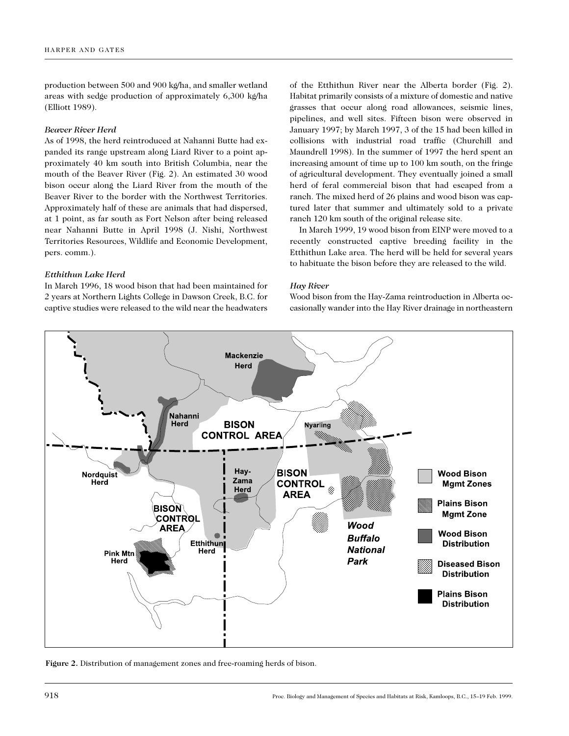production between 500 and 900 kg/ha, and smaller wetland areas with sedge production of approximately 6,300 kg/ha (Elliott 1989).

#### *Beaver River Herd*

As of 1998, the herd reintroduced at Nahanni Butte had expanded its range upstream along Liard River to a point approximately 40 km south into British Columbia, near the mouth of the Beaver River (Fig. 2). An estimated 30 wood bison occur along the Liard River from the mouth of the Beaver River to the border with the Northwest Territories. Approximately half of these are animals that had dispersed, at 1 point, as far south as Fort Nelson after being released near Nahanni Butte in April 1998 (J. Nishi, Northwest Territories Resources, Wildlife and Economic Development, pers. comm.).

## *Etthithun Lake Herd*

In March 1996, 18 wood bison that had been maintained for 2 years at Northern Lights College in Dawson Creek, B.C. for captive studies were released to the wild near the headwaters

of the Etthithun River near the Alberta border (Fig. 2). Habitat primarily consists of a mixture of domestic and native grasses that occur along road allowances, seismic lines, pipelines, and well sites. Fifteen bison were observed in January 1997; by March 1997, 3 of the 15 had been killed in collisions with industrial road traffic (Churchill and Maundrell 1998). In the summer of 1997 the herd spent an increasing amount of time up to 100 km south, on the fringe of agricultural development. They eventually joined a small herd of feral commercial bison that had escaped from a ranch. The mixed herd of 26 plains and wood bison was captured later that summer and ultimately sold to a private ranch 120 km south of the original release site.

In March 1999, 19 wood bison from EINP were moved to a recently constructed captive breeding facility in the Etthithun Lake area. The herd will be held for several years to habituate the bison before they are released to the wild.

## *Hay River*

Wood bison from the Hay-Zama reintroduction in Alberta occasionally wander into the Hay River drainage in northeastern



**Figure 2.** Distribution of management zones and free-roaming herds of bison.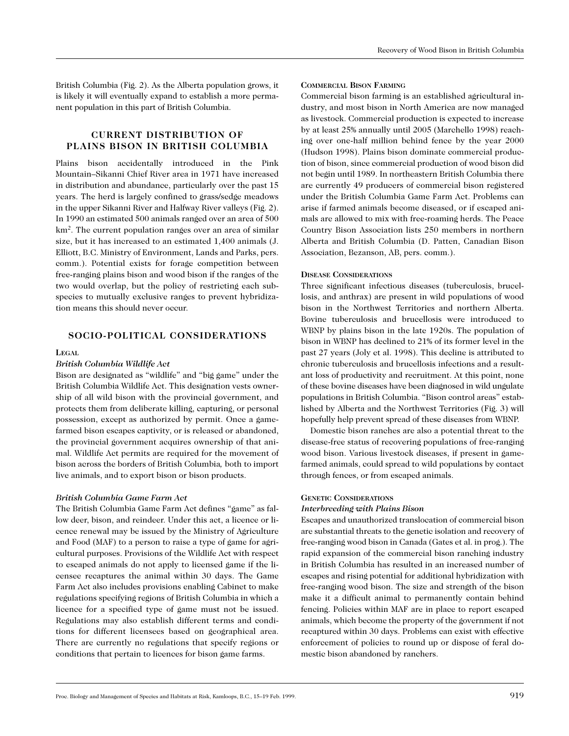British Columbia (Fig. 2). As the Alberta population grows, it is likely it will eventually expand to establish a more permanent population in this part of British Columbia.

# **CURRENT DISTRIBUTION OF PLAINS BISON IN BRITISH COLUMBIA**

Plains bison accidentally introduced in the Pink Mountain–Sikanni Chief River area in 1971 have increased in distribution and abundance, particularly over the past 15 years. The herd is largely confined to grass/sedge meadows in the upper Sikanni River and Halfway River valleys (Fig. 2). In 1990 an estimated 500 animals ranged over an area of 500 km2. The current population ranges over an area of similar size, but it has increased to an estimated 1,400 animals (J. Elliott, B.C. Ministry of Environment, Lands and Parks, pers. comm.). Potential exists for forage competition between free-ranging plains bison and wood bison if the ranges of the two would overlap, but the policy of restricting each subspecies to mutually exclusive ranges to prevent hybridization means this should never occur.

## **SOCIO-POLITICAL CONSIDERATIONS**

#### **LEGAL**

# *British Columbia Wildlife Act*

Bison are designated as "wildlife" and "big game" under the British Columbia Wildlife Act. This designation vests ownership of all wild bison with the provincial government, and protects them from deliberate killing, capturing, or personal possession, except as authorized by permit. Once a gamefarmed bison escapes captivity, or is released or abandoned, the provincial government acquires ownership of that animal. Wildlife Act permits are required for the movement of bison across the borders of British Columbia*,* both to import live animals, and to export bison or bison products.

#### *British Columbia Game Farm Act*

The British Columbia Game Farm Act defines "game" as fallow deer, bison, and reindeer. Under this act, a licence or licence renewal may be issued by the Ministry of Agriculture and Food (MAF) to a person to raise a type of game for agricultural purposes. Provisions of the Wildlife Act with respect to escaped animals do not apply to licensed game if the licensee recaptures the animal within 30 days. The Game Farm Act also includes provisions enabling Cabinet to make regulations specifying regions of British Columbia in which a licence for a specified type of game must not be issued. Regulations may also establish different terms and conditions for different licensees based on geographical area. There are currently no regulations that specify regions or conditions that pertain to licences for bison game farms.

#### **COMMERCIAL BISON FARMING**

Commercial bison farming is an established agricultural industry, and most bison in North America are now managed as livestock. Commercial production is expected to increase by at least 25% annually until 2005 (Marchello 1998) reaching over one-half million behind fence by the year 2000 (Hudson 1998). Plains bison dominate commercial production of bison, since commercial production of wood bison did not begin until 1989. In northeastern British Columbia there are currently 49 producers of commercial bison registered under the British Columbia Game Farm Act. Problems can arise if farmed animals become diseased, or if escaped animals are allowed to mix with free-roaming herds. The Peace Country Bison Association lists 250 members in northern Alberta and British Columbia (D. Patten, Canadian Bison Association, Bezanson, AB, pers. comm.).

#### **DISEASE CONSIDERATIONS**

Three significant infectious diseases (tuberculosis, brucellosis, and anthrax) are present in wild populations of wood bison in the Northwest Territories and northern Alberta. Bovine tuberculosis and brucellosis were introduced to WBNP by plains bison in the late 1920s. The population of bison in WBNP has declined to 21% of its former level in the past 27 years (Joly et al. 1998). This decline is attributed to chronic tuberculosis and brucellosis infections and a resultant loss of productivity and recruitment. At this point, none of these bovine diseases have been diagnosed in wild ungulate populations in British Columbia. "Bison control areas" established by Alberta and the Northwest Territories (Fig. 3) will hopefully help prevent spread of these diseases from WBNP.

Domestic bison ranches are also a potential threat to the disease-free status of recovering populations of free-ranging wood bison. Various livestock diseases, if present in gamefarmed animals, could spread to wild populations by contact through fences, or from escaped animals.

#### **GENETIC CONSIDERATIONS**

#### *Interbreeding with Plains Bison*

Escapes and unauthorized translocation of commercial bison are substantial threats to the genetic isolation and recovery of free-ranging wood bison in Canada (Gates et al. in prog.). The rapid expansion of the commercial bison ranching industry in British Columbia has resulted in an increased number of escapes and rising potential for additional hybridization with free-ranging wood bison. The size and strength of the bison make it a difficult animal to permanently contain behind fencing. Policies within MAF are in place to report escaped animals, which become the property of the government if not recaptured within 30 days. Problems can exist with effective enforcement of policies to round up or dispose of feral domestic bison abandoned by ranchers.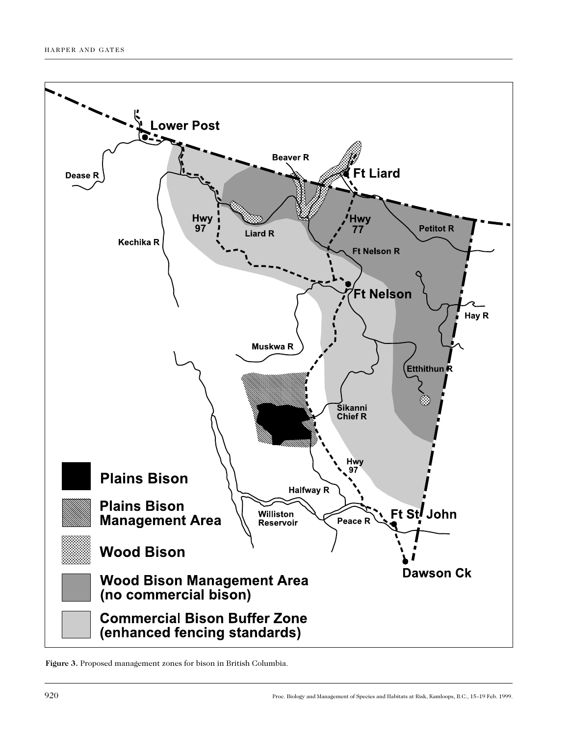

**Figure 3.** Proposed management zones for bison in British Columbia.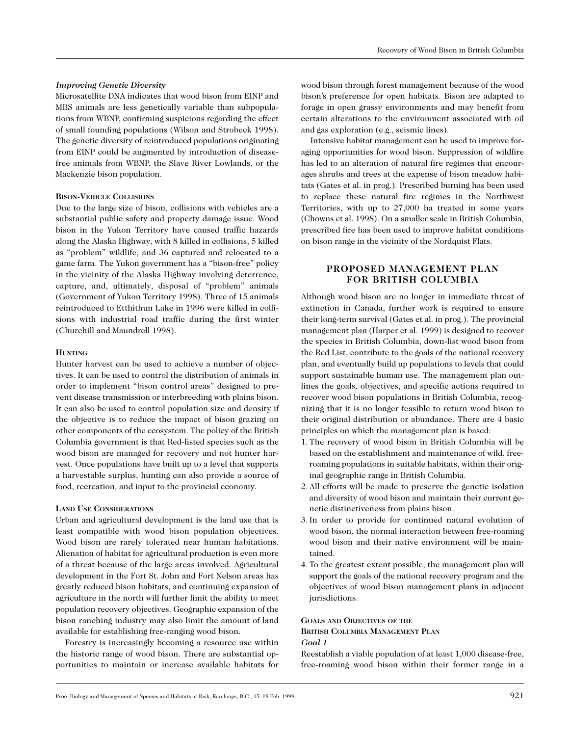#### *Improving Genetic Diversity*

Microsatellite DNA indicates that wood bison from EINP and MBS animals are less genetically variable than subpopulations from WBNP, confirming suspicions regarding the effect of small founding populations (Wilson and Strobeck 1998). The genetic diversity of reintroduced populations originating from EINP could be augmented by introduction of diseasefree animals from WBNP, the Slave River Lowlands, or the Mackenzie bison population.

## **BISON-VEHICLE COLLISIONS**

Due to the large size of bison, collisions with vehicles are a substantial public safety and property damage issue. Wood bison in the Yukon Territory have caused traffic hazards along the Alaska Highway, with 8 killed in collisions, 5 killed as "problem" wildlife, and 36 captured and relocated to a game farm. The Yukon government has a "bison-free" policy in the vicinity of the Alaska Highway involving deterrence, capture, and, ultimately, disposal of "problem" animals (Government of Yukon Territory 1998). Three of 15 animals reintroduced to Etthithun Lake in 1996 were killed in collisions with industrial road traffic during the first winter (Churchill and Maundrell 1998).

#### **HUNTING**

Hunter harvest can be used to achieve a number of objectives. It can be used to control the distribution of animals in order to implement "bison control areas" designed to prevent disease transmission or interbreeding with plains bison. It can also be used to control population size and density if the objective is to reduce the impact of bison grazing on other components of the ecosystem. The policy of the British Columbia government is that Red-listed species such as the wood bison are managed for recovery and not hunter harvest. Once populations have built up to a level that supports a harvestable surplus, hunting can also provide a source of food, recreation, and input to the provincial economy.

#### **LAND USE CONSIDERATIONS**

Urban and agricultural development is the land use that is least compatible with wood bison population objectives. Wood bison are rarely tolerated near human habitations. Alienation of habitat for agricultural production is even more of a threat because of the large areas involved. Agricultural development in the Fort St. John and Fort Nelson areas has greatly reduced bison habitats, and continuing expansion of agriculture in the north will further limit the ability to meet population recovery objectives. Geographic expansion of the bison ranching industry may also limit the amount of land available for establishing free-ranging wood bison.

Forestry is increasingly becoming a resource use within the historic range of wood bison. There are substantial opportunities to maintain or increase available habitats for

wood bison through forest management because of the wood bison's preference for open habitats. Bison are adapted to forage in open grassy environments and may benefit from certain alterations to the environment associated with oil and gas exploration (e.g., seismic lines).

Intensive habitat management can be used to improve foraging opportunities for wood bison. Suppression of wildfire has led to an alteration of natural fire regimes that encourages shrubs and trees at the expense of bison meadow habitats (Gates et al. in prog.). Prescribed burning has been used to replace these natural fire regimes in the Northwest Territories, with up to 27,000 ha treated in some years (Chowns et al. 1998). On a smaller scale in British Columbia, prescribed fire has been used to improve habitat conditions on bison range in the vicinity of the Nordquist Flats.

# **PROPOSED MANAGEMENT PLAN FOR BRITISH COLUMBIA**

Although wood bison are no longer in immediate threat of extinction in Canada, further work is required to ensure their long-term survival (Gates et al. in prog.). The provincial management plan (Harper et al. 1999) is designed to recover the species in British Columbia, down-list wood bison from the Red List, contribute to the goals of the national recovery plan, and eventually build up populations to levels that could support sustainable human use. The management plan outlines the goals, objectives, and specific actions required to recover wood bison populations in British Columbia, recognizing that it is no longer feasible to return wood bison to their original distribution or abundance. There are 4 basic principles on which the management plan is based:

- 1. The recovery of wood bison in British Columbia will be based on the establishment and maintenance of wild, freeroaming populations in suitable habitats, within their original geographic range in British Columbia.
- 2. All efforts will be made to preserve the genetic isolation and diversity of wood bison and maintain their current genetic distinctiveness from plains bison.
- 3. In order to provide for continued natural evolution of wood bison, the normal interaction between free-roaming wood bison and their native environment will be maintained.
- 4. To the greatest extent possible, the management plan will support the goals of the national recovery program and the objectives of wood bison management plans in adjacent jurisdictions.

#### **GOALS AND OBJECTIVES OF THE BRITISH COLUMBIA MANAGEMENT PLAN**

*Goal 1*

Reestablish a viable population of at least 1,000 disease-free, free-roaming wood bison within their former range in a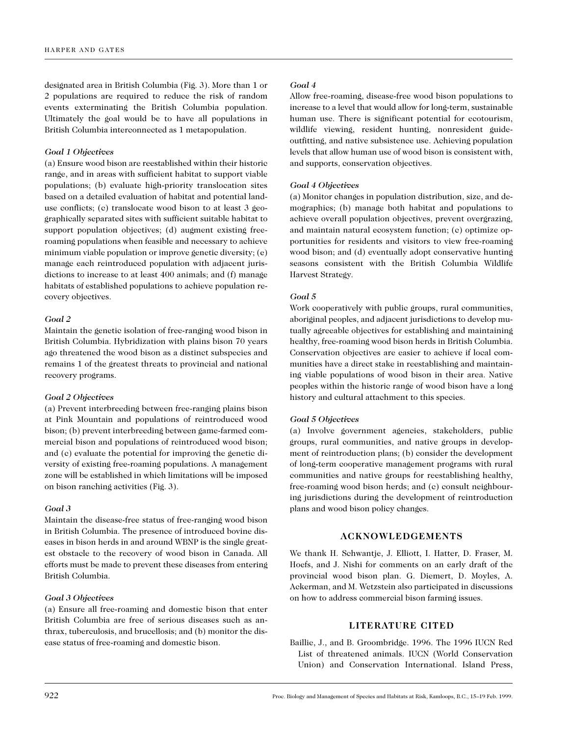designated area in British Columbia (Fig. 3). More than 1 or 2 populations are required to reduce the risk of random events exterminating the British Columbia population. Ultimately the goal would be to have all populations in British Columbia interconnected as 1 metapopulation.

## *Goal 1 Objectives*

(a) Ensure wood bison are reestablished within their historic range, and in areas with sufficient habitat to support viable populations; (b) evaluate high-priority translocation sites based on a detailed evaluation of habitat and potential landuse conflicts; (c) translocate wood bison to at least 3 geographically separated sites with sufficient suitable habitat to support population objectives; (d) augment existing freeroaming populations when feasible and necessary to achieve minimum viable population or improve genetic diversity; (e) manage each reintroduced population with adjacent jurisdictions to increase to at least 400 animals; and (f) manage habitats of established populations to achieve population recovery objectives.

### *Goal 2*

Maintain the genetic isolation of free-ranging wood bison in British Columbia. Hybridization with plains bison 70 years ago threatened the wood bison as a distinct subspecies and remains 1 of the greatest threats to provincial and national recovery programs.

#### *Goal 2 Objectives*

(a) Prevent interbreeding between free-ranging plains bison at Pink Mountain and populations of reintroduced wood bison; (b) prevent interbreeding between game-farmed commercial bison and populations of reintroduced wood bison; and (c) evaluate the potential for improving the genetic diversity of existing free-roaming populations. A management zone will be established in which limitations will be imposed on bison ranching activities (Fig. 3).

#### *Goal 3*

Maintain the disease-free status of free-ranging wood bison in British Columbia. The presence of introduced bovine diseases in bison herds in and around WBNP is the single greatest obstacle to the recovery of wood bison in Canada. All efforts must be made to prevent these diseases from entering British Columbia.

# *Goal 3 Objectives*

(a) Ensure all free-roaming and domestic bison that enter British Columbia are free of serious diseases such as anthrax, tuberculosis, and brucellosis; and (b) monitor the disease status of free-roaming and domestic bison.

#### *Goal 4*

Allow free-roaming, disease-free wood bison populations to increase to a level that would allow for long-term, sustainable human use. There is significant potential for ecotourism, wildlife viewing, resident hunting, nonresident guideoutfitting, and native subsistence use. Achieving population levels that allow human use of wood bison is consistent with, and supports, conservation objectives.

## *Goal 4 Objectives*

(a) Monitor changes in population distribution, size, and demographics; (b) manage both habitat and populations to achieve overall population objectives, prevent overgrazing, and maintain natural ecosystem function; (c) optimize opportunities for residents and visitors to view free-roaming wood bison; and (d) eventually adopt conservative hunting seasons consistent with the British Columbia Wildlife Harvest Strategy.

# *Goal 5*

Work cooperatively with public groups, rural communities, aboriginal peoples, and adjacent jurisdictions to develop mutually agreeable objectives for establishing and maintaining healthy, free-roaming wood bison herds in British Columbia. Conservation objectives are easier to achieve if local communities have a direct stake in reestablishing and maintaining viable populations of wood bison in their area. Native peoples within the historic range of wood bison have a long history and cultural attachment to this species.

## *Goal 5 Objectives*

(a) Involve government agencies, stakeholders, public groups, rural communities, and native groups in development of reintroduction plans; (b) consider the development of long-term cooperative management programs with rural communities and native groups for reestablishing healthy, free-roaming wood bison herds; and (c) consult neighbouring jurisdictions during the development of reintroduction plans and wood bison policy changes.

# **ACKNOWLEDGEMENTS**

We thank H. Schwantje, J. Elliott, I. Hatter, D. Fraser, M. Hoefs, and J. Nishi for comments on an early draft of the provincial wood bison plan. G. Diemert, D. Moyles, A. Ackerman, and M. Wetzstein also participated in discussions on how to address commercial bison farming issues.

# **LITERATURE CITED**

Baillie, J., and B. Groombridge. 1996. The 1996 IUCN Red List of threatened animals. IUCN (World Conservation Union) and Conservation International. Island Press,